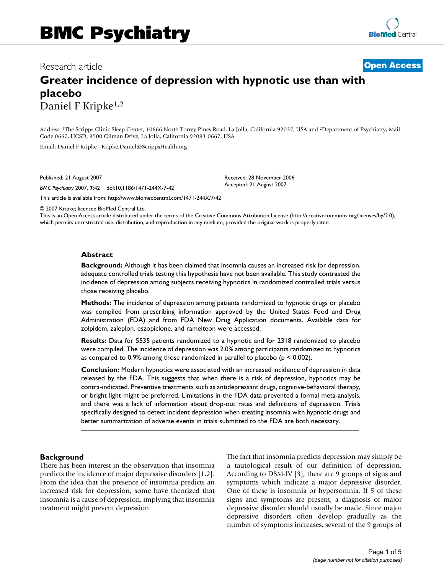## Research article **[Open Access](http://www.biomedcentral.com/info/about/charter/)**

# **Greater incidence of depression with hypnotic use than with placebo** Daniel F Kripke1,2

Address: 1The Scripps Clinic Sleep Center, 10666 North Torrey Pines Road, La Jolla, California 92037, USA and 2Department of Psychiatry, Mail Code 0667, UCSD, 9500 Gilman Drive, La Jolla, California 92093-0667, USA

> Received: 28 November 2006 Accepted: 21 August 2007

Email: Daniel F Kripke - Kripke.Daniel@ScrippsHealth.org

Published: 21 August 2007

*BMC Psychiatry* 2007, **7**:42 doi:10.1186/1471-244X-7-42

[This article is available from: http://www.biomedcentral.com/1471-244X/7/42](http://www.biomedcentral.com/1471-244X/7/42)

© 2007 Kripke; licensee BioMed Central Ltd.

This is an Open Access article distributed under the terms of the Creative Commons Attribution License [\(http://creativecommons.org/licenses/by/2.0\)](http://creativecommons.org/licenses/by/2.0), which permits unrestricted use, distribution, and reproduction in any medium, provided the original work is properly cited.

#### **Abstract**

**Background:** Although it has been claimed that insomnia causes an increased risk for depression, adequate controlled trials testing this hypothesis have not been available. This study contrasted the incidence of depression among subjects receiving hypnotics in randomized controlled trials versus those receiving placebo.

**Methods:** The incidence of depression among patients randomized to hypnotic drugs or placebo was compiled from prescribing information approved by the United States Food and Drug Administration (FDA) and from FDA New Drug Application documents. Available data for zolpidem, zaleplon, eszopiclone, and ramelteon were accessed.

**Results:** Data for 5535 patients randomized to a hypnotic and for 2318 randomized to placebo were compiled. The incidence of depression was 2.0% among participants randomized to hypnotics as compared to 0.9% among those randomized in parallel to placebo (p < 0.002).

**Conclusion:** Modern hypnotics were associated with an increased incidence of depression in data released by the FDA. This suggests that when there is a risk of depression, hypnotics may be contra-indicated. Preventive treatments such as antidepressant drugs, cognitive-behavioral therapy, or bright light might be preferred. Limitations in the FDA data prevented a formal meta-analysis, and there was a lack of information about drop-out rates and definitions of depression. Trials specifically designed to detect incident depression when treating insomnia with hypnotic drugs and better summarization of adverse events in trials submitted to the FDA are both necessary.

#### **Background**

There has been interest in the observation that insomnia predicts the incidence of major depressive disorders [1,2]. From the idea that the presence of insomnia predicts an increased risk for depression, some have theorized that insomnia is a cause of depression, implying that insomnia treatment might prevent depression.

The fact that insomnia predicts depression may simply be a tautological result of our definition of depression. According to DSM-IV [3], there are 9 groups of signs and symptoms which indicate a major depressive disorder. One of these is insomnia or hypersomnia. If 5 of these signs and symptoms are present, a diagnosis of major depressive disorder should usually be made. Since major depressive disorders often develop gradually as the number of symptoms increases, several of the 9 groups of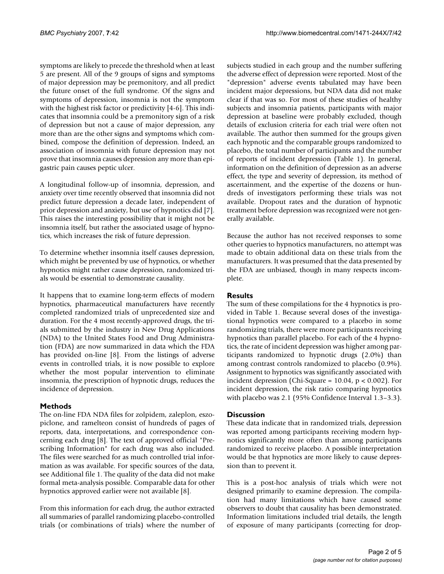symptoms are likely to precede the threshold when at least 5 are present. All of the 9 groups of signs and symptoms of major depression may be premonitory, and all predict the future onset of the full syndrome. Of the signs and symptoms of depression, insomnia is not the symptom with the highest risk factor or predictivity [4-6]. This indicates that insomnia could be a premonitory sign of a risk of depression but not a cause of major depression, any more than are the other signs and symptoms which combined, compose the definition of depression. Indeed, an association of insomnia with future depression may not prove that insomnia causes depression any more than epigastric pain causes peptic ulcer.

A longitudinal follow-up of insomnia, depression, and anxiety over time recently observed that insomnia did not predict future depression a decade later, independent of prior depression and anxiety, but use of hypnotics did [7]. This raises the interesting possibility that it might not be insomnia itself, but rather the associated usage of hypnotics, which increases the risk of future depression.

To determine whether insomnia itself causes depression, which might be prevented by use of hypnotics, or whether hypnotics might rather cause depression, randomized trials would be essential to demonstrate causality.

It happens that to examine long-term effects of modern hypnotics, pharmaceutical manufacturers have recently completed randomized trials of unprecedented size and duration. For the 4 most recently-approved drugs, the trials submitted by the industry in New Drug Applications (NDA) to the United States Food and Drug Administration (FDA) are now summarized in data which the FDA has provided on-line [8]. From the listings of adverse events in controlled trials, it is now possible to explore whether the most popular intervention to eliminate insomnia, the prescription of hypnotic drugs, reduces the incidence of depression.

## **Methods**

The on-line FDA NDA files for zolpidem, zaleplon, eszopiclone, and ramelteon consist of hundreds of pages of reports, data, interpretations, and correspondence concerning each drug [8]. The text of approved official "Prescribing Information" for each drug was also included. The files were searched for as much controlled trial information as was available. For specific sources of the data, see Additional file 1. The quality of the data did not make formal meta-analysis possible. Comparable data for other hypnotics approved earlier were not available [8].

From this information for each drug, the author extracted all summaries of parallel randomizing placebo-controlled trials (or combinations of trials) where the number of subjects studied in each group and the number suffering the adverse effect of depression were reported. Most of the "depression" adverse events tabulated may have been incident major depressions, but NDA data did not make clear if that was so. For most of these studies of healthy subjects and insomnia patients, participants with major depression at baseline were probably excluded, though details of exclusion criteria for each trial were often not available. The author then summed for the groups given each hypnotic and the comparable groups randomized to placebo, the total number of participants and the number of reports of incident depression (Table 1). In general, information on the definition of depression as an adverse effect, the type and severity of depression, its method of ascertainment, and the expertise of the dozens or hundreds of investigators performing these trials was not available. Dropout rates and the duration of hypnotic treatment before depression was recognized were not generally available.

Because the author has not received responses to some other queries to hypnotics manufacturers, no attempt was made to obtain additional data on these trials from the manufacturers. It was presumed that the data presented by the FDA are unbiased, though in many respects incomplete.

## **Results**

The sum of these compilations for the 4 hypnotics is provided in Table 1. Because several doses of the investigational hypnotics were compared to a placebo in some randomizing trials, there were more participants receiving hypnotics than parallel placebo. For each of the 4 hypnotics, the rate of incident depression was higher among participants randomized to hypnotic drugs (2.0%) than among contrast controls randomized to placebo (0.9%). Assignment to hypnotics was significantly associated with incident depression (Chi-Square =  $10.04$ ,  $p < 0.002$ ). For incident depression, the risk ratio comparing hypnotics with placebo was 2.1 (95% Confidence Interval 1.3–3.3).

## **Discussion**

These data indicate that in randomized trials, depression was reported among participants receiving modern hypnotics significantly more often than among participants randomized to receive placebo. A possible interpretation would be that hypnotics are more likely to cause depression than to prevent it.

This is a post-hoc analysis of trials which were not designed primarily to examine depression. The compilation had many limitations which have caused some observers to doubt that causality has been demonstrated. Information limitations included trial details, the length of exposure of many participants (correcting for drop-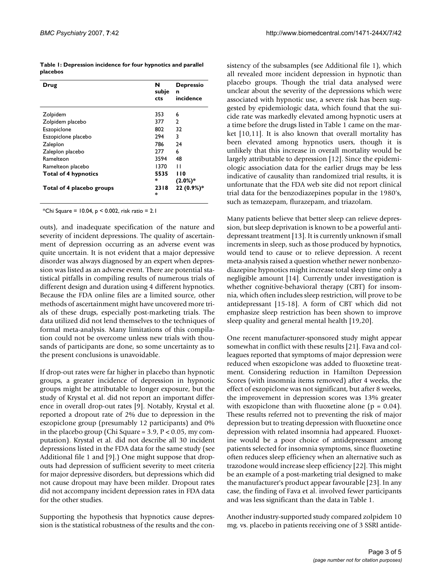|          | Table 1: Depression incidence for four hypnotics and parallel |
|----------|---------------------------------------------------------------|
| placebos |                                                               |

| Drug                        | N<br>subje<br>cts | <b>Depressio</b><br>n<br>incidence |
|-----------------------------|-------------------|------------------------------------|
| Zolpidem                    | 353               | 6                                  |
| Zolpidem placebo            | 377               | 2                                  |
| Eszopiclone                 | 802               | 32                                 |
| Eszopiclone placebo         | 294               | 3                                  |
| Zaleplon                    | 786               | 24                                 |
| Zaleplon placebo            | 277               | 6                                  |
| Ramelteon                   | 3594              | 48                                 |
| Ramelteon placebo           | 1370              | П                                  |
| <b>Total of 4 hypnotics</b> | 5535              | <b>110</b>                         |
|                             | ж,                | $(2.0\%)*$                         |
| Total of 4 placebo groups   | 2318<br>ж,        | 22 (0.9%)*                         |

\*Chi Square = 10.04, p < 0.002, risk ratio = 2.1

outs), and inadequate specification of the nature and severity of incident depressions. The quality of ascertainment of depression occurring as an adverse event was quite uncertain. It is not evident that a major depressive disorder was always diagnosed by an expert when depression was listed as an adverse event. There are potential statistical pitfalls in compiling results of numerous trials of different design and duration using 4 different hypnotics. Because the FDA online files are a limited source, other methods of ascertainment might have uncovered more trials of these drugs, especially post-marketing trials. The data utilized did not lend themselves to the techniques of formal meta-analysis. Many limitations of this compilation could not be overcome unless new trials with thousands of participants are done, so some uncertainty as to the present conclusions is unavoidable.

If drop-out rates were far higher in placebo than hypnotic groups, a greater incidence of depression in hypnotic groups might be attributable to longer exposure, but the study of Krystal et al. did not report an important difference in overall drop-out rates [9]. Notably, Krystal et al. reported a dropout rate of 2% due to depression in the eszopiclone group (presumably 12 participants) and 0% in the placebo group (Chi Square =  $3.9$ ,  $P < 0.05$ , my computation). Krystal et al. did not describe all 30 incident depressions listed in the FDA data for the same study (see Additional file 1 and [9].) One might suppose that dropouts had depression of sufficient severity to meet criteria for major depressive disorders, but depressions which did not cause dropout may have been milder. Dropout rates did not accompany incident depression rates in FDA data for the other studies.

Supporting the hypothesis that hypnotics cause depression is the statistical robustness of the results and the consistency of the subsamples (see Additional file 1), which all revealed more incident depression in hypnotic than placebo groups. Though the trial data analysed were unclear about the severity of the depressions which were associated with hypnotic use, a severe risk has been suggested by epidemiologic data, which found that the suicide rate was markedly elevated among hypnotic users at a time before the drugs listed in Table 1 came on the market [10,11]. It is also known that overall mortality has been elevated among hypnotics users, though it is unlikely that this increase in overall mortality would be largely attributable to depression [12]. Since the epidemiologic association data for the earlier drugs may be less indicative of causality than randomized trial results, it is unfortunate that the FDA web site did not report clinical trial data for the benzodiazepines popular in the 1980's, such as temazepam, flurazepam, and triazolam.

Many patients believe that better sleep can relieve depression, but sleep deprivation is known to be a powerful antidepressant treatment [13]. It is currently unknown if small increments in sleep, such as those produced by hypnotics, would tend to cause or to relieve depression. A recent meta-analysis raised a question whether newer nonbenzodiazepine hypnotics might increase total sleep time only a negligible amount [14]. Currently under investigation is whether cognitive-behavioral therapy (CBT) for insomnia, which often includes sleep restriction, will prove to be antidepressant [15-18]. A form of CBT which did not emphasize sleep restriction has been shown to improve sleep quality and general mental health [19,20].

One recent manufacturer-sponsored study might appear somewhat in conflict with these results [21]. Fava and colleagues reported that symptoms of major depression were reduced when eszopiclone was added to fluoxetine treatment. Considering reduction in Hamilton Depression Scores (with insomnia items removed) after 4 weeks, the effect of eszopiclone was not significant, but after 8 weeks, the improvement in depression scores was 13% greater with eszopiclone than with fluoxetine alone ( $p = 0.04$ ). These results referred not to preventing the risk of major depression but to treating depression with fluoxetine once depression with related insomnia had appeared. Fluoxetine would be a poor choice of antidepressant among patients selected for insomnia symptoms, since fluoxetine often reduces sleep efficiency when an alternative such as trazodone would increase sleep efficiency [22]. This might be an example of a post-marketing trial designed to make the manufacturer's product appear favourable [23]. In any case, the finding of Fava et al. involved fewer participants and was less significant than the data in Table 1.

Another industry-supported study compared zolpidem 10 mg. vs. placebo in patients receiving one of 3 SSRI antide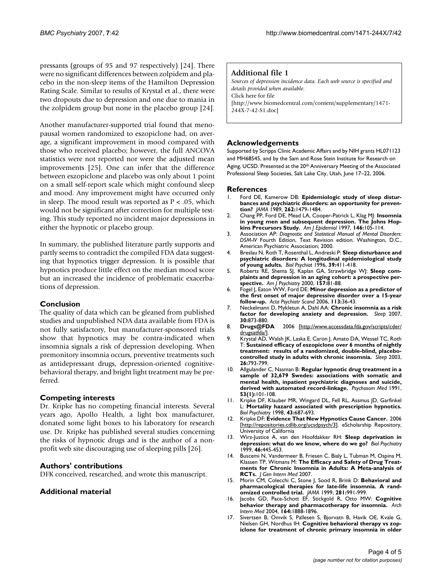pressants (groups of 95 and 97 respectively) [24]. There were no significant differences between zolpidem and placebo in the non-sleep items of the Hamilton Depression Rating Scale. Similar to results of Krystal et al., there were two dropouts due to depression and one due to mania in the zolpidem group but none in the placebo group [24].

Another manufacturer-supported trial found that menopausal women randomized to eszopiclone had, on average, a significant improvement in mood compared with those who received placebo; however, the full ANCOVA statistics were not reported nor were the adjusted mean improvements [25]. One can infer that the difference between eszopiclone and placebo was only about 1 point on a small self-report scale which might confound sleep and mood. Any improvement might have occurred only in sleep. The mood result was reported as  $P < .05$ , which would not be significant after correction for multiple testing. This study reported no incident major depressions in either the hypnotic or placebo group.

In summary, the published literature partly supports and partly seems to contradict the compiled FDA data suggesting that hypnotics trigger depression. It is possible that hypnotics produce little effect on the median mood score but an increased the incidence of problematic exacerbations of depression.

#### **Conclusion**

The quality of data which can be gleaned from published studies and unpublished NDA data available from FDA is not fully satisfactory, but manufacturer-sponsored trials show that hypnotics may be contra-indicated when insomnia signals a risk of depression developing. When premonitory insomnia occurs, preventive treatments such as antidepressant drugs, depression-oriented cognitivebehavioral therapy, and bright light treatment may be preferred.

#### **Competing interests**

Dr. Kripke has no competing financial interests. Several years ago, Apollo Health, a light box manufacturer, donated some light boxes to his laboratory for research use. Dr. Kripke has published several studies concerning the risks of hypnotic drugs and is the author of a nonprofit web site discouraging use of sleeping pills [26].

#### **Authors' contributions**

DFK conceived, researched, and wrote this manuscript.

#### **Additional material**

#### **Additional file 1**

*Sources of depression incidence data. Each web source is specified and details provided when available.* Click here for file [\[http://www.biomedcentral.com/content/supplementary/1471-](http://www.biomedcentral.com/content/supplementary/1471-244X-7-42-S1.doc) 244X-7-42-S1.doc]

#### **Acknowledgements**

Supported by Scripps Clinic Academic Affairs and by NIH grants HL071123 and MH68545, and by the Sam and Rose Stein Institute for Research on Aging, UCSD. Presented at the 20<sup>th</sup> Anniversary Meeting of the Associated Professional Sleep Societies, Salt Lake City, Utah, June 17–22, 2006.

#### **References**

- Ford DE, Kamerow DB: [Epidemiologic study of sleep distur](http://www.ncbi.nlm.nih.gov/entrez/query.fcgi?cmd=Retrieve&db=PubMed&dopt=Abstract&list_uids=2769898)**[bances and psychiatric disorders: an opportunity for preven](http://www.ncbi.nlm.nih.gov/entrez/query.fcgi?cmd=Retrieve&db=PubMed&dopt=Abstract&list_uids=2769898)[tion?](http://www.ncbi.nlm.nih.gov/entrez/query.fcgi?cmd=Retrieve&db=PubMed&dopt=Abstract&list_uids=2769898)** *JAMA* 1989, **262:**1479-1484.
- 2. Chang PP, Ford DE, Mead LA, Cooper-Patrick L, Klag MJ: **[Insomnia](http://www.ncbi.nlm.nih.gov/entrez/query.fcgi?cmd=Retrieve&db=PubMed&dopt=Abstract&list_uids=9230772) [in young men and subsequent depression. The Johns Hop](http://www.ncbi.nlm.nih.gov/entrez/query.fcgi?cmd=Retrieve&db=PubMed&dopt=Abstract&list_uids=9230772)[kins Precursors Study.](http://www.ncbi.nlm.nih.gov/entrez/query.fcgi?cmd=Retrieve&db=PubMed&dopt=Abstract&list_uids=9230772)** *Am J Epidemiol* 1997, **146:**105-114.
- 3. Association AP: *Diagnostic and Statistical Manual of Mental Disorders: DSM-IV* Fourth Edition, Text Revision edition. Washington, D.C., American Psychiatric Association; 2000.
- 4. Breslau N, Roth T, Rosenthal L, Andreski P: **[Sleep disturbance and](http://www.ncbi.nlm.nih.gov/entrez/query.fcgi?cmd=Retrieve&db=PubMed&dopt=Abstract&list_uids=8679786) [psychiatric disorders: A longitudinal epidemiological study](http://www.ncbi.nlm.nih.gov/entrez/query.fcgi?cmd=Retrieve&db=PubMed&dopt=Abstract&list_uids=8679786) [of young adults.](http://www.ncbi.nlm.nih.gov/entrez/query.fcgi?cmd=Retrieve&db=PubMed&dopt=Abstract&list_uids=8679786)** *Biol Psychiat* 1996, **39:**411-418.
- 5. Roberts RE, Shema SJ, Kaplan GA, Strawbridge WJ: **[Sleep com](http://www.ncbi.nlm.nih.gov/entrez/query.fcgi?cmd=Retrieve&db=PubMed&dopt=Abstract&list_uids=10618017)[plaints and depression in an aging cohort: a prospective per](http://www.ncbi.nlm.nih.gov/entrez/query.fcgi?cmd=Retrieve&db=PubMed&dopt=Abstract&list_uids=10618017)[spective.](http://www.ncbi.nlm.nih.gov/entrez/query.fcgi?cmd=Retrieve&db=PubMed&dopt=Abstract&list_uids=10618017)** *Am J Psychiatry* 2000, **157:**81-88.
- 6. Fogel J, Eaton WW, Ford DE: **[Minor depression as a predictor of](http://www.ncbi.nlm.nih.gov/entrez/query.fcgi?cmd=Retrieve&db=PubMed&dopt=Abstract&list_uids=16390367) [the first onset of major depressive disorder over a 15-year](http://www.ncbi.nlm.nih.gov/entrez/query.fcgi?cmd=Retrieve&db=PubMed&dopt=Abstract&list_uids=16390367) [follow-up.](http://www.ncbi.nlm.nih.gov/entrez/query.fcgi?cmd=Retrieve&db=PubMed&dopt=Abstract&list_uids=16390367)** *Acta Psychiatr Scand* 2006, **113:**36-43.
- 7. Neckelmann D, Mykletun A, Dahl AA: **[Chronic insomnia as a risk](http://www.ncbi.nlm.nih.gov/entrez/query.fcgi?cmd=Retrieve&db=PubMed&dopt=Abstract&list_uids=17682658) [factor for developing anxiety and depression.](http://www.ncbi.nlm.nih.gov/entrez/query.fcgi?cmd=Retrieve&db=PubMed&dopt=Abstract&list_uids=17682658)** *Sleep* 2007,
- **30:**873-880. 8. **Drugs@FDA** 2006 [[http://www.accessdata.fda.gov/scripts/cder/](http://www.accessdata.fda.gov/scripts/cder/drugsatfda/) [drugsatfda/\]](http://www.accessdata.fda.gov/scripts/cder/drugsatfda/).
- 9. Krystal AD, Walsh JK, Laska E, Caron J, Amato DA, Wessel TC, Roth T: **[Sustained efficacy of eszopiclone over 6 months of nightly](http://www.ncbi.nlm.nih.gov/entrez/query.fcgi?cmd=Retrieve&db=PubMed&dopt=Abstract&list_uids=14655910) [treatment: results of a randomized, double-blind, placebo](http://www.ncbi.nlm.nih.gov/entrez/query.fcgi?cmd=Retrieve&db=PubMed&dopt=Abstract&list_uids=14655910)[controlled study in adults with chronic insomnia.](http://www.ncbi.nlm.nih.gov/entrez/query.fcgi?cmd=Retrieve&db=PubMed&dopt=Abstract&list_uids=14655910)** *Sleep* 2003, **26:**793-799.
- 10. Allgulander C, Nasman B: **Regular hypnotic drug treatment in a sample of 32,679 Swedes: associations with somatic and mental health, inpatient psychiatric diagnoses and suicide, derived with automated record-linkage.** *Psychosom Med* 1991, **53(1):**101-108.
- 11. Kripke DF, Klauber MR, Wingard DL, Fell RL, Assmus JD, Garfinkel L: **[Mortality hazard associated with prescription hypnotics.](http://www.ncbi.nlm.nih.gov/entrez/query.fcgi?cmd=Retrieve&db=PubMed&dopt=Abstract&list_uids=9583003)** *Biol Psychiatry* 1998, **43:**687-693.
- 12. Kripke DF: **Evidence That New Hypnotics Cause Cancer.** 2006 [<http://repositories.cdlib.org/ucsdpsych/3>]. eScholarship Repository, University of California
- 13. Wirz-Justice A, van den Hoofdakker RH: **[Sleep deprivation in](http://www.ncbi.nlm.nih.gov/entrez/query.fcgi?cmd=Retrieve&db=PubMed&dopt=Abstract&list_uids=10459393) [depression: what do we know, where do we go?](http://www.ncbi.nlm.nih.gov/entrez/query.fcgi?cmd=Retrieve&db=PubMed&dopt=Abstract&list_uids=10459393)** *Biol Psychiatry* 1999, **46:**445-453.
- 14. Buscemi N, Vandermeer B, Friesen C, Bialy L, Tubman M, Ospina M, Klassen TP, Witmans M: **[The Efficacy and Safety of Drug Treat](http://www.ncbi.nlm.nih.gov/entrez/query.fcgi?cmd=Retrieve&db=PubMed&dopt=Abstract&list_uids=17619935)[ments for Chronic Insomnia in Adults: A Meta-analysis of](http://www.ncbi.nlm.nih.gov/entrez/query.fcgi?cmd=Retrieve&db=PubMed&dopt=Abstract&list_uids=17619935) [RCTs.](http://www.ncbi.nlm.nih.gov/entrez/query.fcgi?cmd=Retrieve&db=PubMed&dopt=Abstract&list_uids=17619935)** *J Gen Intern Med* 2007.
- 15. Morin CM, Colecchi C, Stone J, Sood R, Brink D: **[Behavioral and](http://www.ncbi.nlm.nih.gov/entrez/query.fcgi?cmd=Retrieve&db=PubMed&dopt=Abstract&list_uids=10086433) [pharmacological therapies for late-life insomnia. A rand](http://www.ncbi.nlm.nih.gov/entrez/query.fcgi?cmd=Retrieve&db=PubMed&dopt=Abstract&list_uids=10086433)[omized controlled trial.](http://www.ncbi.nlm.nih.gov/entrez/query.fcgi?cmd=Retrieve&db=PubMed&dopt=Abstract&list_uids=10086433)** *JAMA* 1999, **281:**991-999.
- 16. Jacobs GD, Pace-Schott EF, Stickgold R, Otto MW: **[Cognitive](http://www.ncbi.nlm.nih.gov/entrez/query.fcgi?cmd=Retrieve&db=PubMed&dopt=Abstract&list_uids=15451764) [behavior therapy and pharmacotherapy for insomnia.](http://www.ncbi.nlm.nih.gov/entrez/query.fcgi?cmd=Retrieve&db=PubMed&dopt=Abstract&list_uids=15451764)** *Arch Intern Med* 2004, **164:**1888-1896.
- 17. Sivertsen B, Omvik S, Pallesen S, Bjorvatn B, Havik OE, Kvale G, Nielsen GH, Nordhus IH: **[Cognitive behavioral therapy vs zop](http://www.ncbi.nlm.nih.gov/entrez/query.fcgi?cmd=Retrieve&db=PubMed&dopt=Abstract&list_uids=16804151)[iclone for treatment of chronic primary insomnia in older](http://www.ncbi.nlm.nih.gov/entrez/query.fcgi?cmd=Retrieve&db=PubMed&dopt=Abstract&list_uids=16804151)**